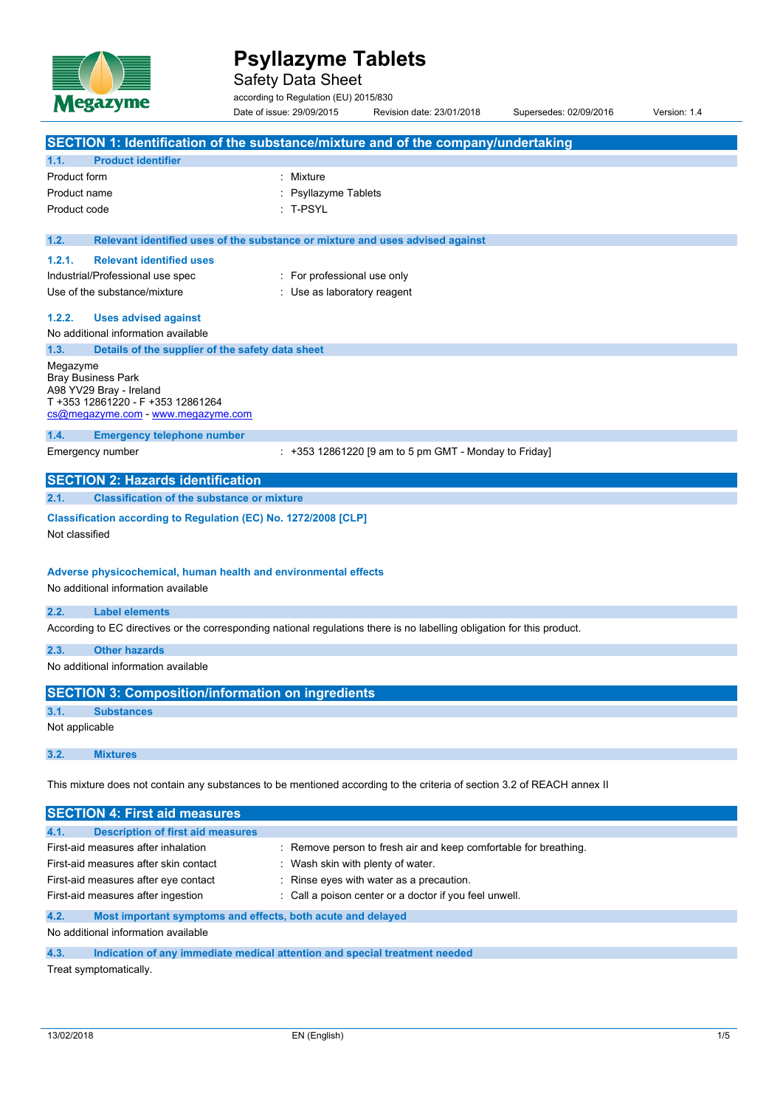

Safety Data Sheet

according to Regulation (EU) 2015/830

|              |                                                                                                                                                                                             | Date of issue: 29/09/2015                                                     | Revision date: 23/01/2018                                        | Supersedes: 02/09/2016 | Version: 1.4 |
|--------------|---------------------------------------------------------------------------------------------------------------------------------------------------------------------------------------------|-------------------------------------------------------------------------------|------------------------------------------------------------------|------------------------|--------------|
|              |                                                                                                                                                                                             |                                                                               |                                                                  |                        |              |
|              | SECTION 1: Identification of the substance/mixture and of the company/undertaking                                                                                                           |                                                                               |                                                                  |                        |              |
| 1.1.         | <b>Product identifier</b>                                                                                                                                                                   |                                                                               |                                                                  |                        |              |
| Product form |                                                                                                                                                                                             | : Mixture                                                                     |                                                                  |                        |              |
|              | Product name                                                                                                                                                                                | <b>Psyllazyme Tablets</b>                                                     |                                                                  |                        |              |
|              | Product code                                                                                                                                                                                | : T-PSYL                                                                      |                                                                  |                        |              |
| 1.2.         |                                                                                                                                                                                             | Relevant identified uses of the substance or mixture and uses advised against |                                                                  |                        |              |
| 1.2.1.       | <b>Relevant identified uses</b>                                                                                                                                                             |                                                                               |                                                                  |                        |              |
|              | Industrial/Professional use spec                                                                                                                                                            | : For professional use only                                                   |                                                                  |                        |              |
|              | Use of the substance/mixture                                                                                                                                                                | : Use as laboratory reagent                                                   |                                                                  |                        |              |
| 1.2.2.       | <b>Uses advised against</b>                                                                                                                                                                 |                                                                               |                                                                  |                        |              |
|              | No additional information available                                                                                                                                                         |                                                                               |                                                                  |                        |              |
| 1.3.         | Details of the supplier of the safety data sheet                                                                                                                                            |                                                                               |                                                                  |                        |              |
| Megazyme     | <b>Bray Business Park</b><br>A98 YV29 Bray - Ireland<br>T +353 12861220 - F +353 12861264<br>cs@megazyme.com - www.megazyme.com                                                             |                                                                               |                                                                  |                        |              |
| 1.4.         | <b>Emergency telephone number</b>                                                                                                                                                           |                                                                               |                                                                  |                        |              |
|              | Emergency number                                                                                                                                                                            |                                                                               | $: +353$ 12861220 [9 am to 5 pm GMT - Monday to Friday]          |                        |              |
|              | <b>SECTION 2: Hazards identification</b>                                                                                                                                                    |                                                                               |                                                                  |                        |              |
| 2.1.         | <b>Classification of the substance or mixture</b>                                                                                                                                           |                                                                               |                                                                  |                        |              |
|              | Classification according to Regulation (EC) No. 1272/2008 [CLP]<br>Not classified<br>Adverse physicochemical, human health and environmental effects<br>No additional information available |                                                                               |                                                                  |                        |              |
| 2.2.         | <b>Label elements</b>                                                                                                                                                                       |                                                                               |                                                                  |                        |              |
|              | According to EC directives or the corresponding national regulations there is no labelling obligation for this product.                                                                     |                                                                               |                                                                  |                        |              |
| 2.3.         | <b>Other hazards</b>                                                                                                                                                                        |                                                                               |                                                                  |                        |              |
|              | No additional information available                                                                                                                                                         |                                                                               |                                                                  |                        |              |
|              | <b>SECTION 3: Composition/information on ingredients</b>                                                                                                                                    |                                                                               |                                                                  |                        |              |
| 3.1.         | <b>Substances</b>                                                                                                                                                                           |                                                                               |                                                                  |                        |              |
|              | Not applicable                                                                                                                                                                              |                                                                               |                                                                  |                        |              |
| 3.2.         | <b>Mixtures</b>                                                                                                                                                                             |                                                                               |                                                                  |                        |              |
|              | This mixture does not contain any substances to be mentioned according to the criteria of section 3.2 of REACH annex II                                                                     |                                                                               |                                                                  |                        |              |
|              | <b>SECTION 4: First aid measures</b>                                                                                                                                                        |                                                                               |                                                                  |                        |              |
| 4.1.         | <b>Description of first aid measures</b>                                                                                                                                                    |                                                                               |                                                                  |                        |              |
|              | First-aid measures after inhalation                                                                                                                                                         |                                                                               | : Remove person to fresh air and keep comfortable for breathing. |                        |              |
|              | First-aid measures after skin contact                                                                                                                                                       | Wash skin with plenty of water.                                               |                                                                  |                        |              |
|              | First-aid measures after eye contact                                                                                                                                                        |                                                                               | Rinse eyes with water as a precaution.                           |                        |              |
|              | First-aid measures after ingestion                                                                                                                                                          |                                                                               | Call a poison center or a doctor if you feel unwell.             |                        |              |

### **4.2. Most important symptoms and effects, both acute and delayed**

No additional information available

## **4.3. Indication of any immediate medical attention and special treatment needed**

Treat symptomatically.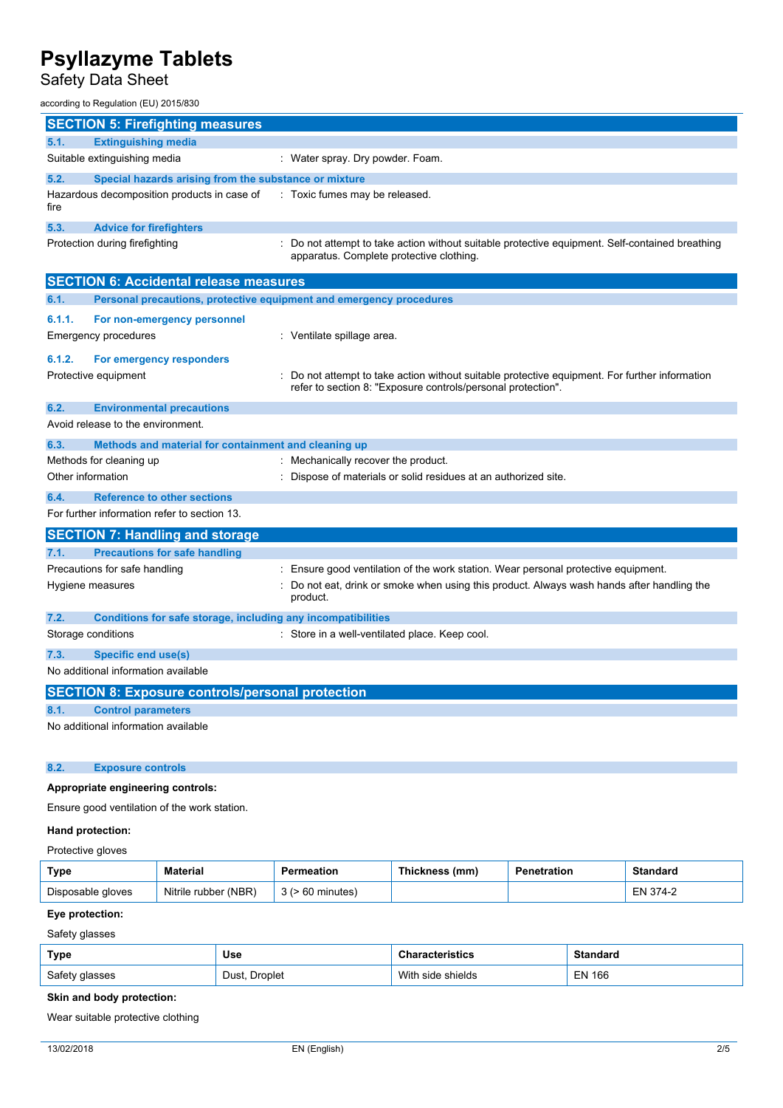Safety Data Sheet

### according to Regulation (EU) 2015/830

|      | <b>SECTION 5: Firefighting measures</b>                                                                                            |                                |  |
|------|------------------------------------------------------------------------------------------------------------------------------------|--------------------------------|--|
| 5.1. | <b>Extinguishing media</b>                                                                                                         |                                |  |
|      | Suitable extinguishing media                                                                                                       | Water spray. Dry powder. Foam. |  |
| 5.2. | Special hazards arising from the substance or mixture                                                                              |                                |  |
| fire | Hazardous decomposition products in case of Faxic fumes may be released.                                                           |                                |  |
| 5.3. | <b>Advice for firefighters</b>                                                                                                     |                                |  |
|      | Drataction during firefiabling<br>. De not attennet to take action without quitable protective caujoment. Celf contained broothing |                                |  |

Protection during firefighting **intercontage action in the suitable protective equipment.** Self-contained breathing apparatus. Complete protective clothing.

| <b>SECTION 6: Accidental release measures</b>           |                                                                     |                                                                                                                                                              |  |  |  |
|---------------------------------------------------------|---------------------------------------------------------------------|--------------------------------------------------------------------------------------------------------------------------------------------------------------|--|--|--|
| 6.1.                                                    | Personal precautions, protective equipment and emergency procedures |                                                                                                                                                              |  |  |  |
| 6.1.1.                                                  | For non-emergency personnel                                         |                                                                                                                                                              |  |  |  |
|                                                         | <b>Emergency procedures</b>                                         | : Ventilate spillage area.                                                                                                                                   |  |  |  |
| 6.1.2.                                                  | For emergency responders                                            |                                                                                                                                                              |  |  |  |
|                                                         | Protective equipment                                                | Do not attempt to take action without suitable protective equipment. For further information<br>refer to section 8: "Exposure controls/personal protection". |  |  |  |
| 6.2.                                                    | <b>Environmental precautions</b>                                    |                                                                                                                                                              |  |  |  |
|                                                         | Avoid release to the environment.                                   |                                                                                                                                                              |  |  |  |
| 6.3.                                                    | Methods and material for containment and cleaning up                |                                                                                                                                                              |  |  |  |
|                                                         | Methods for cleaning up                                             | : Mechanically recover the product.                                                                                                                          |  |  |  |
| Other information                                       |                                                                     | Dispose of materials or solid residues at an authorized site.                                                                                                |  |  |  |
| 6.4.                                                    | <b>Reference to other sections</b>                                  |                                                                                                                                                              |  |  |  |
|                                                         | For further information refer to section 13.                        |                                                                                                                                                              |  |  |  |
|                                                         | <b>SECTION 7: Handling and storage</b>                              |                                                                                                                                                              |  |  |  |
| 7.1.                                                    | <b>Precautions for safe handling</b>                                |                                                                                                                                                              |  |  |  |
|                                                         | Precautions for safe handling                                       | Ensure good ventilation of the work station. Wear personal protective equipment.                                                                             |  |  |  |
|                                                         | Hygiene measures                                                    | Do not eat, drink or smoke when using this product. Always wash hands after handling the<br>product.                                                         |  |  |  |
| 7.2.                                                    | Conditions for safe storage, including any incompatibilities        |                                                                                                                                                              |  |  |  |
|                                                         | Storage conditions                                                  | : Store in a well-ventilated place. Keep cool.                                                                                                               |  |  |  |
| 7.3.                                                    | <b>Specific end use(s)</b>                                          |                                                                                                                                                              |  |  |  |
| No additional information available                     |                                                                     |                                                                                                                                                              |  |  |  |
| <b>SECTION 8: Exposure controls/personal protection</b> |                                                                     |                                                                                                                                                              |  |  |  |
| 8.1.                                                    | <b>Control parameters</b>                                           |                                                                                                                                                              |  |  |  |
|                                                         | No additional information available                                 |                                                                                                                                                              |  |  |  |

## **8.2. Exposure controls**

## **Appropriate engineering controls:**

Ensure good ventilation of the work station.

## **Hand protection:**

## Protective gloves

| Type              | <b>Material</b>      | Permeation   | Thickness (mm) | Penetration | Standard |
|-------------------|----------------------|--------------|----------------|-------------|----------|
| Disposable gloves | Nitrile rubber (NBR) | ⋅60 minutes) |                |             | EN 374-2 |

## **Eye protection:**

Safety glasses

| Type           | Use                           | racteristics         | <b>Standard</b> |
|----------------|-------------------------------|----------------------|-----------------|
| Safety glasses | Droplet<br>Dust, <sup>r</sup> | With<br>side shields | <b>EN 166</b>   |

### **Skin and body protection:**

Wear suitable protective clothing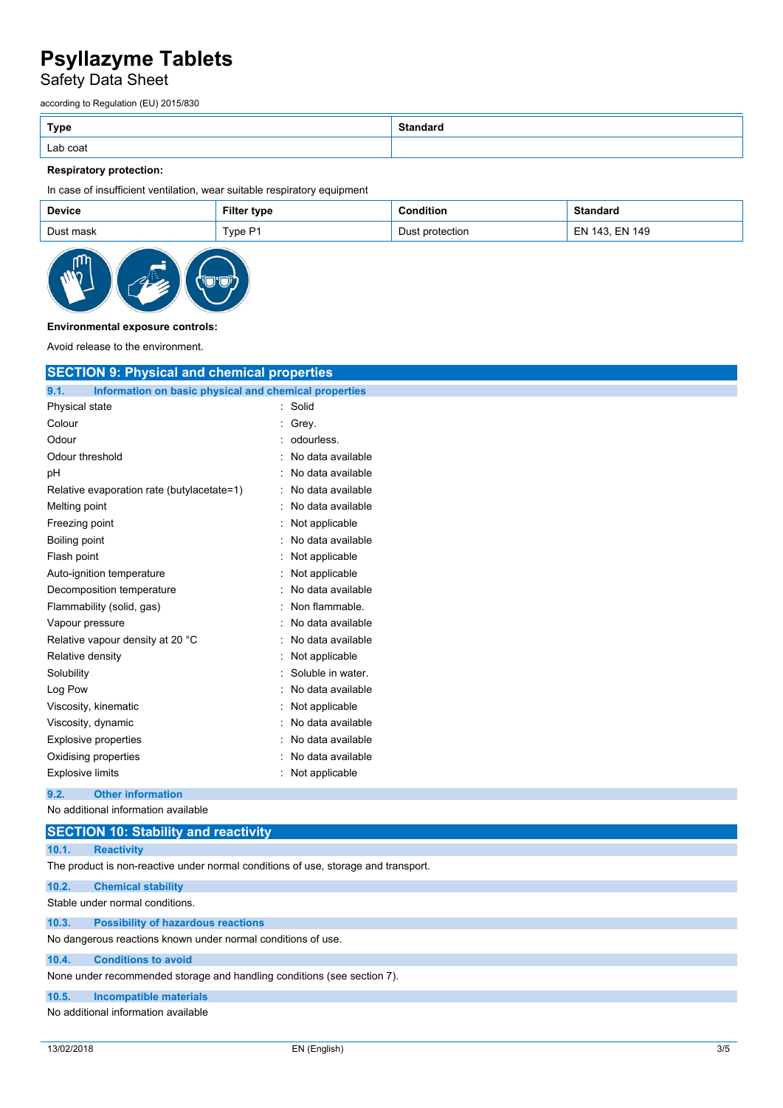Safety Data Sheet

according to Regulation (EU) 2015/830

| <b>Type</b> | <b>Standard</b> |
|-------------|-----------------|
| Lab coat    |                 |

# **Respiratory protection:**

In case of insufficient ventilation, wear suitable respiratory equipment

| <b>Device</b> | <b>Filter type</b> | `ondition       | <b>Standard</b> |
|---------------|--------------------|-----------------|-----------------|
| Dust mask     | ™ype F             | Dust protection | EN 143, EN 149  |



### **Environmental exposure controls:**

Avoid release to the environment.

| <b>SECTION 9: Physical and chemical properties</b>            |                   |
|---------------------------------------------------------------|-------------------|
| 9.1.<br>Information on basic physical and chemical properties |                   |
| Physical state                                                | : Solid           |
| Colour                                                        | Grey.             |
| Odour                                                         | odourless.        |
| Odour threshold                                               | No data available |
| pH                                                            | No data available |
| Relative evaporation rate (butylacetate=1)                    | No data available |
| Melting point                                                 | No data available |
| Freezing point                                                | Not applicable    |
| Boiling point                                                 | No data available |
| Flash point                                                   | Not applicable    |
| Auto-ignition temperature                                     | Not applicable    |
| Decomposition temperature                                     | No data available |
| Flammability (solid, gas)                                     | Non flammable.    |
| Vapour pressure                                               | No data available |
| Relative vapour density at 20 °C                              | No data available |
| Relative density                                              | Not applicable    |
| Solubility                                                    | Soluble in water. |
| Log Pow                                                       | No data available |
| Viscosity, kinematic                                          | Not applicable    |
| Viscosity, dynamic                                            | No data available |
| <b>Explosive properties</b>                                   | No data available |
| Oxidising properties                                          | No data available |
| <b>Explosive limits</b>                                       | Not applicable    |
| <b>Other information</b><br>9.2.                              |                   |

No additional information available

| <b>SECTION 10: Stability and reactivity</b>                                        |  |  |  |  |
|------------------------------------------------------------------------------------|--|--|--|--|
| 10.1.<br><b>Reactivity</b>                                                         |  |  |  |  |
| The product is non-reactive under normal conditions of use, storage and transport. |  |  |  |  |
| 10.2.<br><b>Chemical stability</b>                                                 |  |  |  |  |
| Stable under normal conditions.                                                    |  |  |  |  |
| <b>Possibility of hazardous reactions</b><br>10.3.                                 |  |  |  |  |
| No dangerous reactions known under normal conditions of use.                       |  |  |  |  |
| <b>Conditions to avoid</b><br>10.4.                                                |  |  |  |  |
| None under recommended storage and handling conditions (see section 7).            |  |  |  |  |
| 10.5.<br><b>Incompatible materials</b>                                             |  |  |  |  |
| No additional information available                                                |  |  |  |  |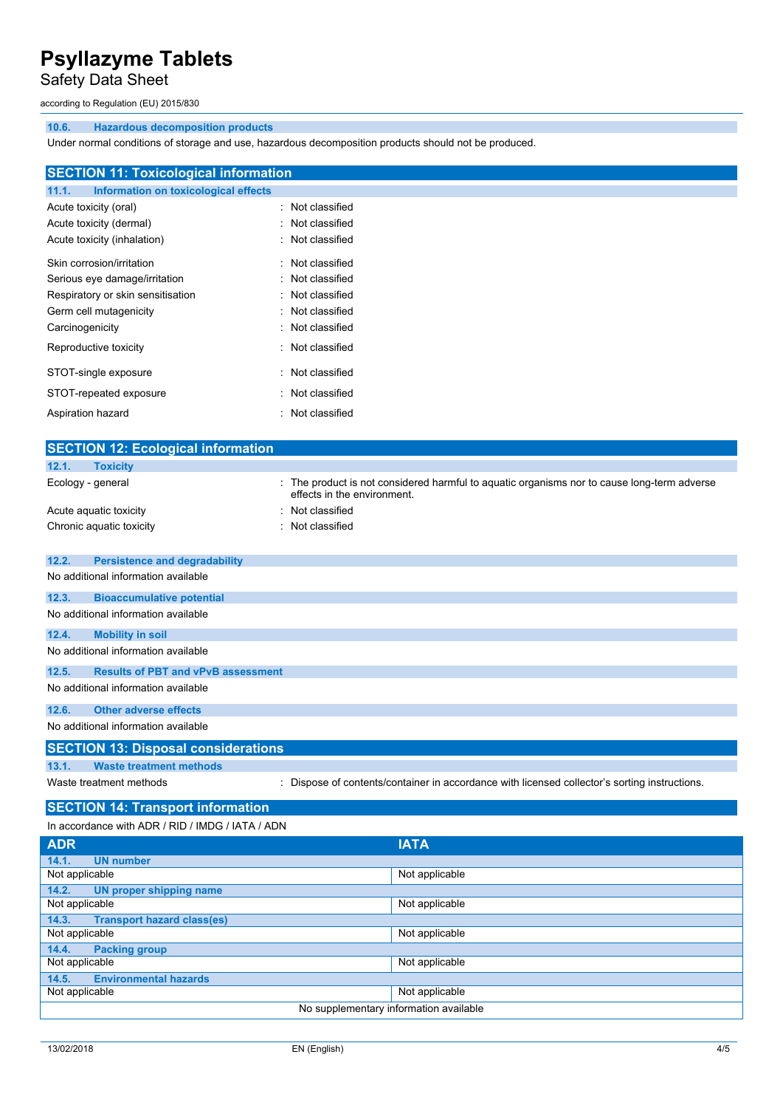Safety Data Sheet

according to Regulation (EU) 2015/830

### **10.6. Hazardous decomposition products**

Under normal conditions of storage and use, hazardous decomposition products should not be produced.

| <b>SECTION 11: Toxicological information</b>                                   |                                                                                                                                 |  |  |  |  |
|--------------------------------------------------------------------------------|---------------------------------------------------------------------------------------------------------------------------------|--|--|--|--|
| <b>Information on toxicological effects</b><br>11.1.                           |                                                                                                                                 |  |  |  |  |
| Acute toxicity (oral)                                                          | Not classified                                                                                                                  |  |  |  |  |
| Acute toxicity (dermal)                                                        | Not classified                                                                                                                  |  |  |  |  |
| Acute toxicity (inhalation)                                                    | Not classified                                                                                                                  |  |  |  |  |
|                                                                                |                                                                                                                                 |  |  |  |  |
| Skin corrosion/irritation                                                      | Not classified                                                                                                                  |  |  |  |  |
| Serious eye damage/irritation                                                  | Not classified                                                                                                                  |  |  |  |  |
| Respiratory or skin sensitisation                                              | Not classified                                                                                                                  |  |  |  |  |
| Germ cell mutagenicity                                                         | Not classified                                                                                                                  |  |  |  |  |
| Carcinogenicity                                                                | Not classified                                                                                                                  |  |  |  |  |
| Reproductive toxicity                                                          | Not classified                                                                                                                  |  |  |  |  |
| STOT-single exposure                                                           | Not classified                                                                                                                  |  |  |  |  |
| STOT-repeated exposure                                                         | Not classified                                                                                                                  |  |  |  |  |
| Aspiration hazard                                                              | Not classified                                                                                                                  |  |  |  |  |
|                                                                                |                                                                                                                                 |  |  |  |  |
| <b>SECTION 12: Ecological information</b>                                      |                                                                                                                                 |  |  |  |  |
| 12.1.<br><b>Toxicity</b>                                                       |                                                                                                                                 |  |  |  |  |
| Ecology - general                                                              | The product is not considered harmful to aquatic organisms nor to cause long-term adverse<br>effects in the environment.        |  |  |  |  |
| Acute aquatic toxicity                                                         | Not classified                                                                                                                  |  |  |  |  |
| Chronic aquatic toxicity<br>$\bullet$                                          | Not classified                                                                                                                  |  |  |  |  |
| 12.2.<br><b>Persistence and degradability</b>                                  |                                                                                                                                 |  |  |  |  |
| No additional information available                                            |                                                                                                                                 |  |  |  |  |
| 12.3.<br><b>Bioaccumulative potential</b>                                      |                                                                                                                                 |  |  |  |  |
| No additional information available                                            |                                                                                                                                 |  |  |  |  |
| <b>Mobility in soil</b><br>12.4.                                               |                                                                                                                                 |  |  |  |  |
| No additional information available                                            |                                                                                                                                 |  |  |  |  |
| 12.5.<br><b>Results of PBT and vPvB assessment</b>                             |                                                                                                                                 |  |  |  |  |
| No additional information available                                            |                                                                                                                                 |  |  |  |  |
| <b>Other adverse effects</b><br>12.6.                                          |                                                                                                                                 |  |  |  |  |
| No additional information available                                            |                                                                                                                                 |  |  |  |  |
| <b>SECTION 13: Disposal considerations</b>                                     |                                                                                                                                 |  |  |  |  |
| 13.1.                                                                          |                                                                                                                                 |  |  |  |  |
| Waste treatment methods                                                        | <b>Waste treatment methods</b><br>: Dispose of contents/container in accordance with licensed collector's sorting instructions. |  |  |  |  |
| <b>SECTION 14: Transport information</b>                                       |                                                                                                                                 |  |  |  |  |
| In accordance with ADR / RID / IMDG / IATA / ADN                               |                                                                                                                                 |  |  |  |  |
| <b>IATA</b><br><b>ADR</b>                                                      |                                                                                                                                 |  |  |  |  |
| 14.1.<br><b>UN number</b>                                                      |                                                                                                                                 |  |  |  |  |
| Not applicable                                                                 | Not applicable                                                                                                                  |  |  |  |  |
| 14.2.<br><b>UN proper shipping name</b>                                        |                                                                                                                                 |  |  |  |  |
| Not applicable<br>Not applicable                                               |                                                                                                                                 |  |  |  |  |
| 14.3.<br><b>Transport hazard class(es)</b><br>Not applicable<br>Not applicable |                                                                                                                                 |  |  |  |  |
| 14.4.<br><b>Packing group</b>                                                  |                                                                                                                                 |  |  |  |  |
| Not applicable<br>Not applicable                                               |                                                                                                                                 |  |  |  |  |
| 14.5.<br><b>Environmental hazards</b>                                          |                                                                                                                                 |  |  |  |  |
| Not applicable                                                                 | Not applicable                                                                                                                  |  |  |  |  |
| No supplementary information available                                         |                                                                                                                                 |  |  |  |  |